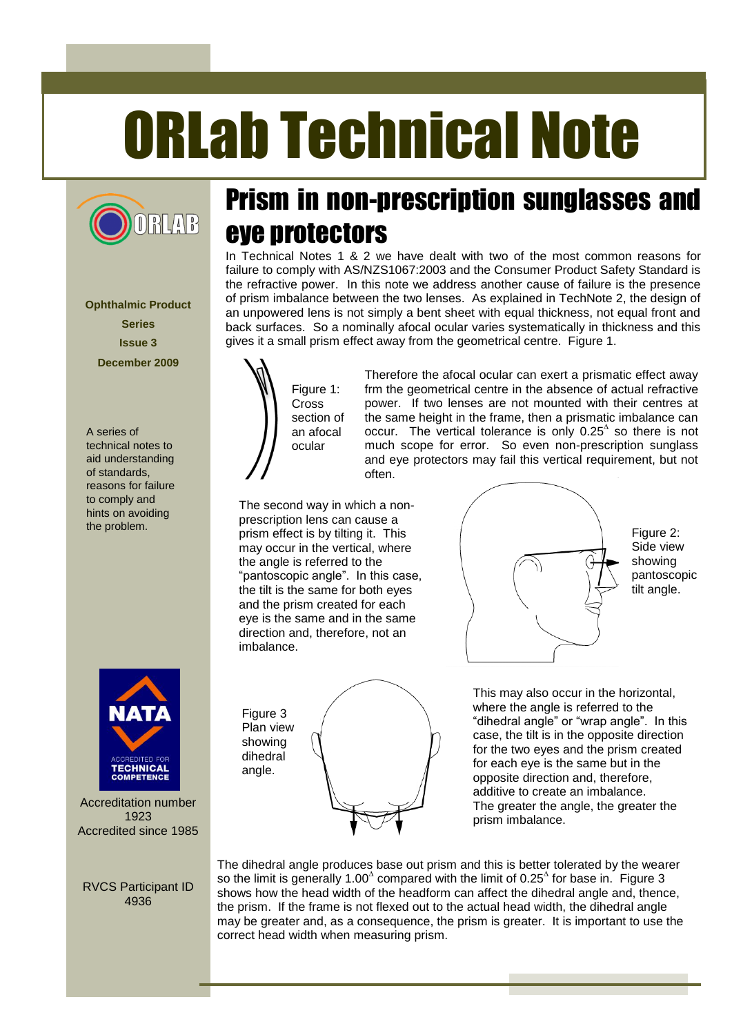# ORLab Technical Note



**Ophthalmic Product Series Issue 3 December 2009**

A series of technical notes to aid understanding of standards, reasons for failure to comply and hints on avoiding the problem.



Accreditation number 1923 Accredited since 1985

RVCS Participant ID 4936

# Prism in non-prescription sunglasses and eye protectors

In Technical Notes 1 & 2 we have dealt with two of the most common reasons for failure to comply with AS/NZS1067:2003 and the Consumer Product Safety Standard is the refractive power. In this note we address another cause of failure is the presence of prism imbalance between the two lenses. As explained in TechNote 2, the design of an unpowered lens is not simply a bent sheet with equal thickness, not equal front and back surfaces. So a nominally afocal ocular varies systematically in thickness and this gives it a small prism effect away from the geometrical centre. Figure 1.



Therefore the afocal ocular can exert a prismatic effect away frm the geometrical centre in the absence of actual refractive power. If two lenses are not mounted with their centres at the same height in the frame, then a prismatic imbalance can occur. The vertical tolerance is only  $0.25^{\circ}$  so there is not much scope for error. So even non-prescription sunglass and eye protectors may fail this vertical requirement, but not often.

The second way in which a nonprescription lens can cause a prism effect is by tilting it. This may occur in the vertical, where the angle is referred to the "pantoscopic angle". In this case, the tilt is the same for both eyes and the prism created for each eye is the same and in the same direction and, therefore, not an imbalance.



Figure 2: Side view showing pantoscopic tilt angle.

Figure 3 Plan view showing dihedral angle.

This may also occur in the horizontal, where the angle is referred to the "dihedral angle" or "wrap angle". In this case, the tilt is in the opposite direction for the two eyes and the prism created for each eye is the same but in the opposite direction and, therefore, additive to create an imbalance. The greater the angle, the greater the prism imbalance.

The dihedral angle produces base out prism and this is better tolerated by the wearer so the limit is generally 1.00<sup> $\triangle$ </sup> compared with the limit of 0.25 $\triangle$  for base in. Figure 3 shows how the head width of the headform can affect the dihedral angle and, thence, the prism. If the frame is not flexed out to the actual head width, the dihedral angle may be greater and, as a consequence, the prism is greater. It is important to use the correct head width when measuring prism.